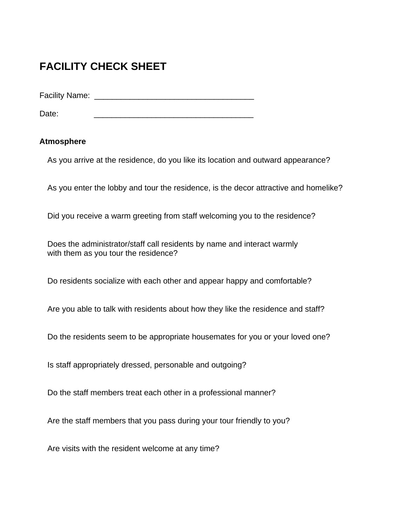# **FACILITY CHECK SHEET**

Facility Name: \_\_\_\_\_\_\_\_\_\_\_\_\_\_\_\_\_\_\_\_\_\_\_\_\_\_\_\_\_\_\_\_\_\_\_\_

Date: \_\_\_\_\_\_\_\_\_\_\_\_\_\_\_\_\_\_\_\_\_\_\_\_\_\_\_\_\_\_\_\_\_\_\_\_

## **Atmosphere**

As you arrive at the residence, do you like its location and outward appearance?

As you enter the lobby and tour the residence, is the decor attractive and homelike?

Did you receive a warm greeting from staff welcoming you to the residence?

Does the administrator/staff call residents by name and interact warmly with them as you tour the residence?

Do residents socialize with each other and appear happy and comfortable?

Are you able to talk with residents about how they like the residence and staff?

Do the residents seem to be appropriate housemates for you or your loved one?

Is staff appropriately dressed, personable and outgoing?

Do the staff members treat each other in a professional manner?

Are the staff members that you pass during your tour friendly to you?

Are visits with the resident welcome at any time?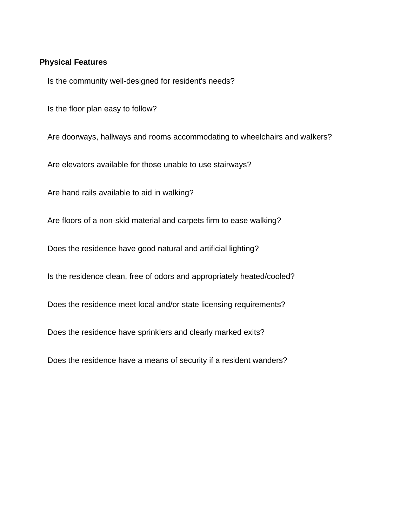### **Physical Features**

Is the community well-designed for resident's needs?

Is the floor plan easy to follow?

Are doorways, hallways and rooms accommodating to wheelchairs and walkers?

Are elevators available for those unable to use stairways?

Are hand rails available to aid in walking?

Are floors of a non-skid material and carpets firm to ease walking?

Does the residence have good natural and artificial lighting?

Is the residence clean, free of odors and appropriately heated/cooled?

Does the residence meet local and/or state licensing requirements?

Does the residence have sprinklers and clearly marked exits?

Does the residence have a means of security if a resident wanders?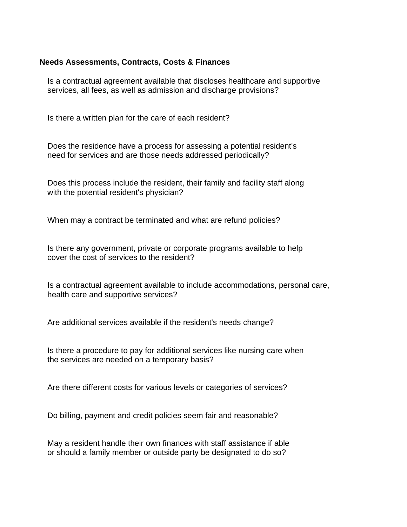## **Needs Assessments, Contracts, Costs & Finances**

Is a contractual agreement available that discloses healthcare and supportive services, all fees, as well as admission and discharge provisions?

Is there a written plan for the care of each resident?

Does the residence have a process for assessing a potential resident's need for services and are those needs addressed periodically?

Does this process include the resident, their family and facility staff along with the potential resident's physician?

When may a contract be terminated and what are refund policies?

Is there any government, private or corporate programs available to help cover the cost of services to the resident?

Is a contractual agreement available to include accommodations, personal care, health care and supportive services?

Are additional services available if the resident's needs change?

Is there a procedure to pay for additional services like nursing care when the services are needed on a temporary basis?

Are there different costs for various levels or categories of services?

Do billing, payment and credit policies seem fair and reasonable?

May a resident handle their own finances with staff assistance if able or should a family member or outside party be designated to do so?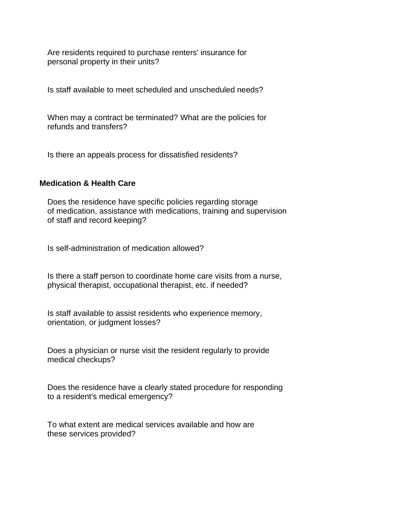Are residents required to purchase renters' insurance for personal property in their units?

Is staff available to meet scheduled and unscheduled needs?

When may a contract be terminated? What are the policies for refunds and transfers?

Is there an appeals process for dissatisfied residents?

## **Medication & Health Care**

Does the residence have specific policies regarding storage of medication, assistance with medications, training and supervision of staff and record keeping?

Is self-administration of medication allowed?

Is there a staff person to coordinate home care visits from a nurse, physical therapist, occupational therapist, etc. if needed?

Is staff available to assist residents who experience memory, orientation, or judgment losses?

Does a physician or nurse visit the resident regularly to provide medical checkups?

Does the residence have a clearly stated procedure for responding to a resident's medical emergency?

To what extent are medical services available and how are these services provided?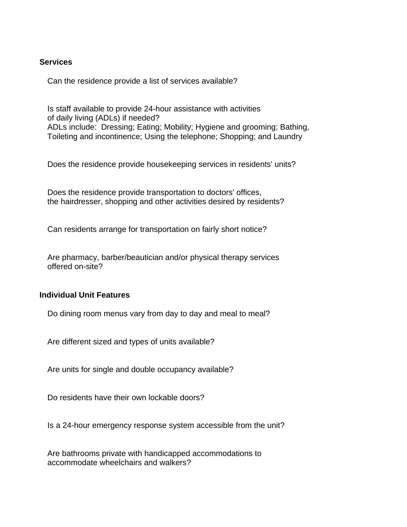## **Services**

Can the residence provide a list of services available?

Is staff available to provide 24-hour assistance with activities of daily living (ADLs) if needed? ADLs include: Dressing; Eating; Mobility; Hygiene and grooming; Bathing, Toileting and incontinence; Using the telephone; Shopping; and Laundry

Does the residence provide housekeeping services in residents' units?

Does the residence provide transportation to doctors' offices, the hairdresser, shopping and other activities desired by residents?

Can residents arrange for transportation on fairly short notice?

Are pharmacy, barber/beautician and/or physical therapy services offered on-site?

#### **Individual Unit Features**

Do dining room menus vary from day to day and meal to meal?

Are different sized and types of units available?

Are units for single and double occupancy available?

Do residents have their own lockable doors?

Is a 24-hour emergency response system accessible from the unit?

Are bathrooms private with handicapped accommodations to accommodate wheelchairs and walkers?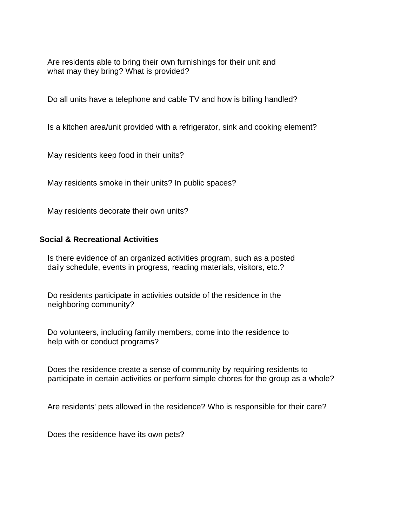Are residents able to bring their own furnishings for their unit and what may they bring? What is provided?

Do all units have a telephone and cable TV and how is billing handled?

Is a kitchen area/unit provided with a refrigerator, sink and cooking element?

May residents keep food in their units?

May residents smoke in their units? In public spaces?

May residents decorate their own units?

## **Social & Recreational Activities**

Is there evidence of an organized activities program, such as a posted daily schedule, events in progress, reading materials, visitors, etc.?

Do residents participate in activities outside of the residence in the neighboring community?

Do volunteers, including family members, come into the residence to help with or conduct programs?

Does the residence create a sense of community by requiring residents to participate in certain activities or perform simple chores for the group as a whole?

Are residents' pets allowed in the residence? Who is responsible for their care?

Does the residence have its own pets?